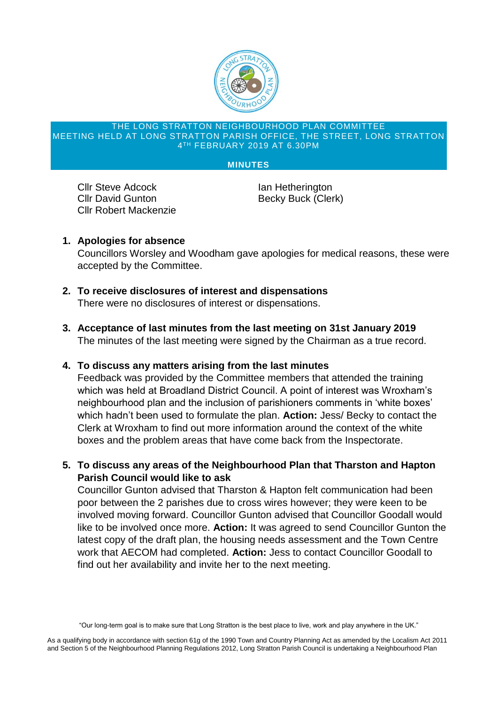

#### THE LONG STRATTON NEIGHBOURHOOD PLAN COMMITTEE MEETING HELD AT LONG STRATTON PARISH OFFICE, THE STREET, LONG STRATTON 4 TH FEBRUARY 2019 AT 6.30PM

#### **MINUTES**

**Cllr Steve Adcock Ian Hetherington** Cllr David Gunton Becky Buck (Clerk) Cllr Robert Mackenzie

**1. Apologies for absence**

Councillors Worsley and Woodham gave apologies for medical reasons, these were accepted by the Committee.

- **2. To receive disclosures of interest and dispensations** There were no disclosures of interest or dispensations.
- **3. Acceptance of last minutes from the last meeting on 31st January 2019** The minutes of the last meeting were signed by the Chairman as a true record.

# **4. To discuss any matters arising from the last minutes**

Feedback was provided by the Committee members that attended the training which was held at Broadland District Council. A point of interest was Wroxham's neighbourhood plan and the inclusion of parishioners comments in 'white boxes' which hadn't been used to formulate the plan. **Action:** Jess/ Becky to contact the Clerk at Wroxham to find out more information around the context of the white boxes and the problem areas that have come back from the Inspectorate.

**5. To discuss any areas of the Neighbourhood Plan that Tharston and Hapton Parish Council would like to ask**

Councillor Gunton advised that Tharston & Hapton felt communication had been poor between the 2 parishes due to cross wires however; they were keen to be involved moving forward. Councillor Gunton advised that Councillor Goodall would like to be involved once more. **Action:** It was agreed to send Councillor Gunton the latest copy of the draft plan, the housing needs assessment and the Town Centre work that AECOM had completed. **Action:** Jess to contact Councillor Goodall to find out her availability and invite her to the next meeting.

<sup>&</sup>quot;Our long-term goal is to make sure that Long Stratton is the best place to live, work and play anywhere in the UK."